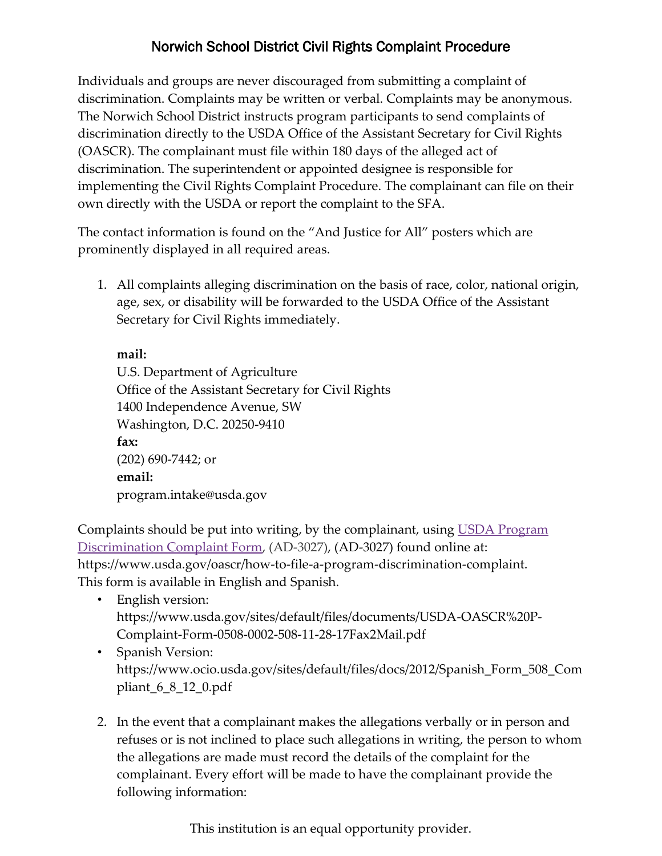## Norwich School District Civil Rights Complaint Procedure

Individuals and groups are never discouraged from submitting a complaint of discrimination. Complaints may be written or verbal. Complaints may be anonymous. The Norwich School District instructs program participants to send complaints of discrimination directly to the USDA Office of the Assistant Secretary for Civil Rights (OASCR). The complainant must file within 180 days of the alleged act of discrimination. The superintendent or appointed designee is responsible for implementing the Civil Rights Complaint Procedure. The complainant can file on their own directly with the USDA or report the complaint to the SFA.

The contact information is found on the "And Justice for All" posters which are prominently displayed in all required areas.

1. All complaints alleging discrimination on the basis of race, color, national origin, age, sex, or disability will be forwarded to the USDA Office of the Assistant Secretary for Civil Rights immediately.

**mail:** U.S. Department of Agriculture Office of the Assistant Secretary for Civil Rights 1400 Independence Avenue, SW Washington, D.C. 20250-9410 **fax:** (202) 690-7442; or **email:** program.intake@usda.gov

Complaints should be put into writing, by the complainant, using [USDA Program](https://www.usda.gov/sites/default/files/documents/USDA-OASCR%20P-Complaint-Form-0508-0002-508-11-28-17Fax2Mail.pdf)  [Discrimination Complaint Form,](https://www.usda.gov/sites/default/files/documents/USDA-OASCR%20P-Complaint-Form-0508-0002-508-11-28-17Fax2Mail.pdf) (AD-3027), (AD-3027) found online at: https://www.usda.gov/oascr/how-to-file-a-program-discrimination-complaint. This form is available in English and Spanish.

- English version: https://www.usda.gov/sites/default/files/documents/USDA-OASCR%20P-Complaint-Form-0508-0002-508-11-28-17Fax2Mail.pdf
- Spanish Version: https://www.ocio.usda.gov/sites/default/files/docs/2012/Spanish\_Form\_508\_Com pliant\_6\_8\_12\_0.pdf
- 2. In the event that a complainant makes the allegations verbally or in person and refuses or is not inclined to place such allegations in writing, the person to whom the allegations are made must record the details of the complaint for the complainant. Every effort will be made to have the complainant provide the following information:

This institution is an equal opportunity provider.